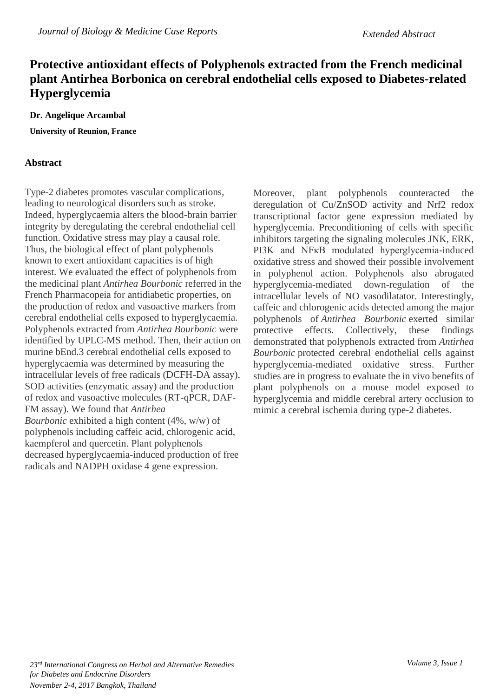## **Protective antioxidant effects of Polyphenols extracted from the French medicinal plant Antirhea Borbonica on cerebral endothelial cells exposed to Diabetes-related Hyperglycemia**

## **Dr. Angelique Arcambal**

**University of Reunion, France**

## **Abstract**

Type-2 diabetes promotes vascular complications, leading to neurological disorders such as stroke. Indeed, hyperglycaemia alters the blood-brain barrier integrity by deregulating the cerebral endothelial cell function. Oxidative stress may play a causal role. Thus, the biological effect of plant polyphenols known to exert antioxidant capacities is of high interest. We evaluated the effect of polyphenols from the medicinal plant *Antirhea Bourbonic* referred in the French Pharmacopeia for antidiabetic properties, on the production of redox and vasoactive markers from cerebral endothelial cells exposed to hyperglycaemia. Polyphenols extracted from *Antirhea Bourbonic* were identified by UPLC-MS method. Then, their action on murine bEnd.3 cerebral endothelial cells exposed to hyperglycaemia was determined by measuring the intracellular levels of free radicals (DCFH-DA assay), SOD activities (enzymatic assay) and the production of redox and vasoactive molecules (RT-qPCR, DAF-FM assay). We found that *Antirhea Bourbonic* exhibited a high content (4%, w/w) of polyphenols including caffeic acid, chlorogenic acid, kaempferol and quercetin. Plant polyphenols decreased hyperglycaemia-induced production of free radicals and NADPH oxidase 4 gene expression.

Moreover, plant polyphenols counteracted the deregulation of Cu/ZnSOD activity and Nrf2 redox transcriptional factor gene expression mediated by hyperglycemia. Preconditioning of cells with specific inhibitors targeting the signaling molecules JNK, ERK, PI3K and NF<sub>K</sub>B modulated hyperglycemia-induced oxidative stress and showed their possible involvement in polyphenol action. Polyphenols also abrogated hyperglycemia-mediated down-regulation of the intracellular levels of NO vasodilatator. Interestingly, caffeic and chlorogenic acids detected among the major polyphenols of *Antirhea Bourbonic* exerted similar protective effects. Collectively, these findings demonstrated that polyphenols extracted from *Antirhea Bourbonic* protected cerebral endothelial cells against hyperglycemia-mediated oxidative stress. Further studies are in progress to evaluate the in vivo benefits of plant polyphenols on a mouse model exposed to hyperglycemia and middle cerebral artery occlusion to mimic a cerebral ischemia during type-2 diabetes.